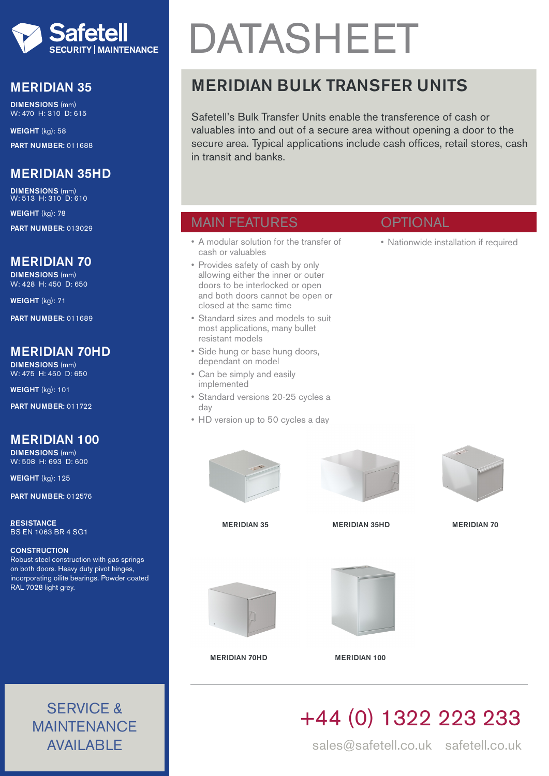

## MERIDIAN 35

DIMENSIONS (mm) W: 470 H: 310 D: 615

WEIGHT (kg): 58 PART NUMBER: 011688

# MERIDIAN 35HD

DIMENSIONS (mm) W: 513 H: 310 D: 610

WEIGHT (kg): 78

PART NUMBER: 013029

#### MERIDIAN 70

DIMENSIONS (mm) W: 428 H: 450 D: 650

WEIGHT (kg): 71

PART NUMBER: 011689

### MERIDIAN 70HD

DIMENSIONS (mm) W: 475 H: 450 D: 650

WEIGHT (kg): 101

PART NUMBER: 011722

# MERIDIAN 100

DIMENSIONS (mm) W: 508 H: 693 D: 600

WEIGHT (kg): 125

PART NUMBER: 012576

**RESISTANCE** BS EN 1063 BR 4 SG1

#### **CONSTRUCTION**

Robust steel construction with gas springs on both doors. Heavy duty pivot hinges, incorporating oilite bearings. Powder coated RAL 7028 light grey.

> SERVICE & MAINTENANCE AVAILABLE

# DATASHEET

# MERIDIAN BULK TRANSFER UNITS

Safetell's Bulk Transfer Units enable the transference of cash or valuables into and out of a secure area without opening a door to the secure area. Typical applications include cash offices, retail stores, cash in transit and banks.

**OPTIONAL** 

• Nationwide installation if required

# MAIN FEATURES

- A modular solution for the transfer of cash or valuables
- Provides safety of cash by only allowing either the inner or outer doors to be interlocked or open and both doors cannot be open or closed at the same time
- Standard sizes and models to suit most applications, many bullet resistant models
- Side hung or base hung doors, dependant on model
- Can be simply and easily implemented
- Standard versions 20-25 cycles a day
- HD version up to 50 cycles a day





MERIDIAN 35 MERIDIAN 35HD MERIDIAN 70





MERIDIAN 70HD MERIDIAN 100

# +44 (0) 1322 223 233

sales@safetell.co.uk safetell.co.uk